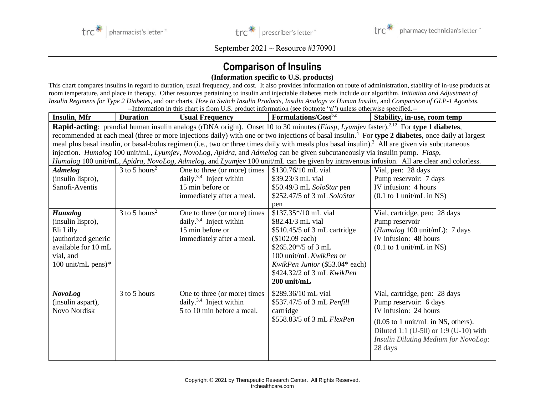



September 2021 ~ Resource #370901

## **Comparison of Insulins**

## **(Information specific to U.S. products)**

This chart compares insulins in regard to duration, usual frequency, and cost. It also provides information on route of administration, stability of in-use products at room temperature, and place in therapy. Other resources pertaining to insulin and injectable diabetes meds include our algorithm, *Initiation and Adjustment of Insulin Regimens for Type 2 Diabetes*, and our charts, *How to Switch Insulin Products*, *Insulin Analogs vs Human Insulin*, and *Comparison of GLP-1 Agonists*. --Information in this chart is from U.S. product information (see footnote "a") unless otherwise specified.--

| <b>Insulin, Mfr</b>   | <b>Duration</b>                                                                                                                                                | <b>Usual Frequency</b>              | Formulations/Costb.c                                                                                                                                                     | Stability, in-use, room temp                          |  |
|-----------------------|----------------------------------------------------------------------------------------------------------------------------------------------------------------|-------------------------------------|--------------------------------------------------------------------------------------------------------------------------------------------------------------------------|-------------------------------------------------------|--|
|                       |                                                                                                                                                                |                                     | <b>Rapid-acting</b> : prandial human insulin analogs (rDNA origin). Onset 10 to 30 minutes ( <i>Fiasp</i> , <i>Lyumjev</i> faster). <sup>2,12</sup> For type 1 diabetes, |                                                       |  |
|                       | recommended at each meal (three or more injections daily) with one or two injections of basal insulin. <sup>4</sup> For type 2 diabetes, once daily at largest |                                     |                                                                                                                                                                          |                                                       |  |
|                       |                                                                                                                                                                |                                     | meal plus basal insulin, or basal-bolus regimen (i.e., two or three times daily with meals plus basal insulin). <sup>3</sup> All are given via subcutaneous              |                                                       |  |
|                       | injection. Humalog 100 unit/mL, Lyumjev, NovoLog, Apidra, and Admelog can be given subcutaneously via insulin pump. Fiasp,                                     |                                     |                                                                                                                                                                          |                                                       |  |
|                       | Humalog 100 unit/mL, Apidra, NovoLog, Admelog, and Lyumjev 100 unit/mL can be given by intravenous infusion. All are clear and colorless.                      |                                     |                                                                                                                                                                          |                                                       |  |
| <b>Admelog</b>        | $3$ to 5 hours <sup>2</sup>                                                                                                                                    | One to three (or more) times        | \$130.76/10 mL vial                                                                                                                                                      | Vial, pen: 28 days                                    |  |
| (insulin lispro),     |                                                                                                                                                                | daily. <sup>3,4</sup> Inject within | \$39.23/3 mL vial                                                                                                                                                        | Pump reservoir: 7 days                                |  |
| Sanofi-Aventis        |                                                                                                                                                                | 15 min before or                    | \$50.49/3 mL SoloStar pen                                                                                                                                                | IV infusion: 4 hours                                  |  |
|                       |                                                                                                                                                                | immediately after a meal.           | \$252.47/5 of 3 mL SoloStar                                                                                                                                              | $(0.1$ to 1 unit/mL in NS)                            |  |
|                       |                                                                                                                                                                |                                     | pen                                                                                                                                                                      |                                                       |  |
| <b>Humalog</b>        | $3$ to 5 hours <sup>2</sup>                                                                                                                                    | One to three (or more) times        | \$137.35*/10 mL vial                                                                                                                                                     | Vial, cartridge, pen: 28 days                         |  |
| (insulin lispro),     |                                                                                                                                                                | daily. <sup>3,4</sup> Inject within | \$82.41/3 mL vial                                                                                                                                                        | Pump reservoir                                        |  |
| Eli Lilly             |                                                                                                                                                                | 15 min before or                    | \$510.45/5 of 3 mL cartridge                                                                                                                                             | (Humalog 100 unit/mL): 7 days                         |  |
| (authorized generic   |                                                                                                                                                                | immediately after a meal.           | (\$102.09 each)                                                                                                                                                          | IV infusion: 48 hours                                 |  |
| available for 10 mL   |                                                                                                                                                                |                                     | $$265.20*/5$ of 3 mL                                                                                                                                                     | $(0.1$ to 1 unit/mL in NS)                            |  |
| vial, and             |                                                                                                                                                                |                                     | 100 unit/mL KwikPen or                                                                                                                                                   |                                                       |  |
| 100 unit/mL pens $)*$ |                                                                                                                                                                |                                     | KwikPen Junior (\$53.04* each)                                                                                                                                           |                                                       |  |
|                       |                                                                                                                                                                |                                     | \$424.32/2 of 3 mL KwikPen                                                                                                                                               |                                                       |  |
|                       |                                                                                                                                                                |                                     | $200$ unit/mL                                                                                                                                                            |                                                       |  |
| <b>NovoLog</b>        | 3 to 5 hours                                                                                                                                                   | One to three (or more) times        | \$289.36/10 mL vial                                                                                                                                                      | Vial, cartridge, pen: 28 days                         |  |
| (insulin aspart),     |                                                                                                                                                                | daily. <sup>3,4</sup> Inject within | \$537.47/5 of 3 mL Penfill                                                                                                                                               | Pump reservoir: 6 days                                |  |
| Novo Nordisk          |                                                                                                                                                                | 5 to 10 min before a meal.          | cartridge                                                                                                                                                                | IV infusion: 24 hours                                 |  |
|                       |                                                                                                                                                                |                                     | \$558.83/5 of 3 mL FlexPen                                                                                                                                               | $(0.05 \text{ to } 1 \text{ unit/mL in NS, others}).$ |  |
|                       |                                                                                                                                                                |                                     |                                                                                                                                                                          | Diluted 1:1 (U-50) or 1:9 (U-10) with                 |  |
|                       |                                                                                                                                                                |                                     |                                                                                                                                                                          | <b>Insulin Diluting Medium for NovoLog:</b>           |  |
|                       |                                                                                                                                                                |                                     |                                                                                                                                                                          | 28 days                                               |  |
|                       |                                                                                                                                                                |                                     |                                                                                                                                                                          |                                                       |  |
|                       |                                                                                                                                                                |                                     |                                                                                                                                                                          |                                                       |  |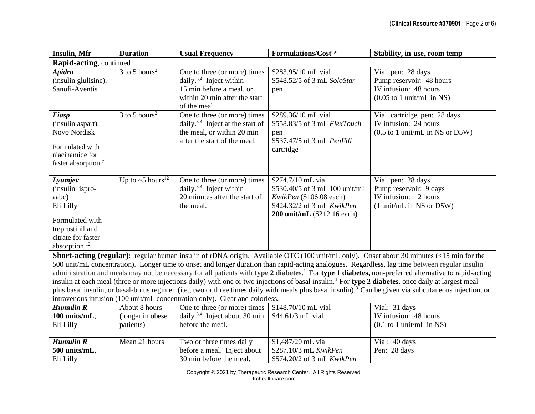| <b>Insulin, Mfr</b>                                                                                                                                                                                                                                                                                                                                                                                                                                                                                                                                                                                                                                                                                                                                                                                                                                                                    | <b>Duration</b>                                | <b>Usual Frequency</b>                                                                                                                           | Formulations/Costb.c                                                                                                                         | Stability, in-use, room temp                                                                                            |  |
|----------------------------------------------------------------------------------------------------------------------------------------------------------------------------------------------------------------------------------------------------------------------------------------------------------------------------------------------------------------------------------------------------------------------------------------------------------------------------------------------------------------------------------------------------------------------------------------------------------------------------------------------------------------------------------------------------------------------------------------------------------------------------------------------------------------------------------------------------------------------------------------|------------------------------------------------|--------------------------------------------------------------------------------------------------------------------------------------------------|----------------------------------------------------------------------------------------------------------------------------------------------|-------------------------------------------------------------------------------------------------------------------------|--|
| Rapid-acting, continued                                                                                                                                                                                                                                                                                                                                                                                                                                                                                                                                                                                                                                                                                                                                                                                                                                                                |                                                |                                                                                                                                                  |                                                                                                                                              |                                                                                                                         |  |
| <b>Apidra</b><br>(insulin glulisine),<br>Sanofi-Aventis                                                                                                                                                                                                                                                                                                                                                                                                                                                                                                                                                                                                                                                                                                                                                                                                                                | 3 to 5 hours <sup>2</sup>                      | One to three (or more) times<br>daily. <sup>3,4</sup> Inject within<br>15 min before a meal, or<br>within 20 min after the start<br>of the meal. | \$283.95/10 mL vial<br>\$548.52/5 of 3 mL SoloStar<br>pen                                                                                    | Vial, pen: 28 days<br>Pump reservoir: 48 hours<br>IV infusion: 48 hours<br>$(0.05 \text{ to } 1 \text{ unit/mL in NS})$ |  |
| Fiasp<br>(insulin aspart),<br><b>Novo Nordisk</b><br>Formulated with<br>niacinamide for<br>faster absorption. <sup>7</sup>                                                                                                                                                                                                                                                                                                                                                                                                                                                                                                                                                                                                                                                                                                                                                             | $3$ to 5 hours <sup>2</sup>                    | One to three (or more) times<br>daily. <sup>3,4</sup> Inject at the start of<br>the meal, or within 20 min<br>after the start of the meal.       | \$289.36/10 mL vial<br>\$558.83/5 of 3 mL FlexTouch<br>pen<br>\$537.47/5 of 3 mL PenFill<br>cartridge                                        | Vial, cartridge, pen: 28 days<br>IV infusion: 24 hours<br>$(0.5 \text{ to } 1 \text{ unit/mL}$ in NS or D5W)            |  |
| Lyumjev<br>(insulin lispro-<br>aabc)<br>Eli Lilly<br>Formulated with<br>treprostinil and<br>citrate for faster<br>absorption. <sup>12</sup>                                                                                                                                                                                                                                                                                                                                                                                                                                                                                                                                                                                                                                                                                                                                            | Up to $\sim$ 5 hours <sup>12</sup>             | One to three (or more) times<br>daily. $3,4$ Inject within<br>20 minutes after the start of<br>the meal.                                         | \$274.7/10 mL vial<br>\$530.40/5 of 3 mL 100 unit/mL<br>KwikPen (\$106.08 each)<br>\$424.32/2 of 3 mL KwikPen<br>200 unit/mL (\$212.16 each) | Vial, pen: 28 days<br>Pump reservoir: 9 days<br>IV infusion: 12 hours<br>(1 unit/mL in NS or D5W)                       |  |
| Short-acting (regular): regular human insulin of rDNA origin. Available OTC (100 unit/mL only). Onset about 30 minutes (<15 min for the<br>500 unit/mL concentration). Longer time to onset and longer duration than rapid-acting analogues. Regardless, lag time between regular insulin<br>administration and meals may not be necessary for all patients with type 2 diabetes. <sup>1</sup> For type 1 diabetes, non-preferred alternative to rapid-acting<br>insulin at each meal (three or more injections daily) with one or two injections of basal insulin. <sup>4</sup> For type 2 diabetes, once daily at largest meal<br>plus basal insulin, or basal-bolus regimen (i.e., two or three times daily with meals plus basal insulin). <sup>3</sup> Can be given via subcutaneous injection, or<br>intravenous infusion (100 unit/mL concentration only). Clear and colorless. |                                                |                                                                                                                                                  |                                                                                                                                              |                                                                                                                         |  |
| <b>Humulin R</b><br>100 units/mL,<br>Eli Lilly                                                                                                                                                                                                                                                                                                                                                                                                                                                                                                                                                                                                                                                                                                                                                                                                                                         | About 8 hours<br>(longer in obese<br>patients) | One to three (or more) times<br>daily. <sup>3,4</sup> Inject about 30 min<br>before the meal.                                                    | \$148.70/10 mL vial<br>\$44.61/3 mL vial                                                                                                     | Vial: 31 days<br>IV infusion: 48 hours<br>$(0.1$ to 1 unit/mL in NS)                                                    |  |
| <b>Humulin R</b><br>500 units/mL,<br>Eli Lilly                                                                                                                                                                                                                                                                                                                                                                                                                                                                                                                                                                                                                                                                                                                                                                                                                                         | Mean 21 hours                                  | Two or three times daily<br>before a meal. Inject about<br>30 min before the meal.                                                               | \$1,487/20 mL vial<br>\$287.10/3 mL KwikPen<br>\$574.20/2 of 3 mL KwikPen                                                                    | Vial: 40 days<br>Pen: 28 days                                                                                           |  |

Copyright © 2021 by Therapeutic Research Center. All Rights Reserved. trchealthcare.com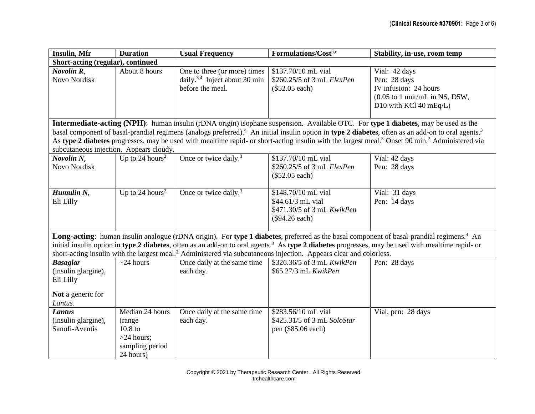| <b>Insulin, Mfr</b>                                                                                                                                                                                                                                                                                                                                                                                                                                     | <b>Duration</b>                                                                                 | <b>Usual Frequency</b>                                                                        | Formulations/Costb.c                                                                     | Stability, in-use, room temp                                                                                                          |  |
|---------------------------------------------------------------------------------------------------------------------------------------------------------------------------------------------------------------------------------------------------------------------------------------------------------------------------------------------------------------------------------------------------------------------------------------------------------|-------------------------------------------------------------------------------------------------|-----------------------------------------------------------------------------------------------|------------------------------------------------------------------------------------------|---------------------------------------------------------------------------------------------------------------------------------------|--|
| Short-acting (regular), continued                                                                                                                                                                                                                                                                                                                                                                                                                       |                                                                                                 |                                                                                               |                                                                                          |                                                                                                                                       |  |
| Novolin R,<br>Novo Nordisk                                                                                                                                                                                                                                                                                                                                                                                                                              | About 8 hours                                                                                   | One to three (or more) times<br>daily. <sup>3,4</sup> Inject about 30 min<br>before the meal. | \$137.70/10 mL vial<br>\$260.25/5 of 3 mL FlexPen<br>$(\$52.05 each)$                    | Vial: 42 days<br>Pen: 28 days<br>IV infusion: 24 hours<br>$(0.05 \text{ to } 1 \text{ unit/mL in NS, D5W},$<br>D10 with KCl 40 mEq/L) |  |
|                                                                                                                                                                                                                                                                                                                                                                                                                                                         |                                                                                                 |                                                                                               |                                                                                          | Intermediate-acting (NPH): human insulin (rDNA origin) isophane suspension. Available OTC. For type 1 diabetes, may be used as the    |  |
| basal component of basal-prandial regimens (analogs preferred). <sup>4</sup> An initial insulin option in type 2 diabetes, often as an add-on to oral agents. <sup>3</sup><br>As type 2 diabetes progresses, may be used with mealtime rapid- or short-acting insulin with the largest meal. <sup>3</sup> Onset 90 min. <sup>2</sup> Administered via<br>subcutaneous injection. Appears cloudy.                                                        |                                                                                                 |                                                                                               |                                                                                          |                                                                                                                                       |  |
| Novolin N.<br>Novo Nordisk                                                                                                                                                                                                                                                                                                                                                                                                                              | Up to 24 hours <sup>2</sup>                                                                     | Once or twice daily. <sup>3</sup>                                                             | \$137.70/10 mL vial<br>\$260.25/5 of 3 mL FlexPen<br>$(\$52.05 each)$                    | Vial: 42 days<br>Pen: 28 days                                                                                                         |  |
| Humulin N,<br>Eli Lilly                                                                                                                                                                                                                                                                                                                                                                                                                                 | Up to 24 hours <sup>2</sup>                                                                     | Once or twice daily. <sup>3</sup>                                                             | \$148.70/10 mL vial<br>\$44.61/3 mL vial<br>\$471.30/5 of 3 mL KwikPen<br>(\$94.26 each) | Vial: 31 days<br>Pen: 14 days                                                                                                         |  |
| Long-acting: human insulin analogue (rDNA origin). For type 1 diabetes, preferred as the basal component of basal-prandial regimens. <sup>4</sup> An<br>initial insulin option in type 2 diabetes, often as an add-on to oral agents. <sup>3</sup> As type 2 diabetes progresses, may be used with mealtime rapid- or<br>short-acting insulin with the largest meal. <sup>3</sup> Administered via subcutaneous injection. Appears clear and colorless. |                                                                                                 |                                                                                               |                                                                                          |                                                                                                                                       |  |
| <b>Basaglar</b><br>(insulin glargine),<br>Eli Lilly                                                                                                                                                                                                                                                                                                                                                                                                     | $\sim$ 24 hours                                                                                 | Once daily at the same time<br>each day.                                                      | \$326.36/5 of 3 mL KwikPen<br>\$65.27/3 mL KwikPen                                       | Pen: 28 days                                                                                                                          |  |
| Not a generic for<br>Lantus.                                                                                                                                                                                                                                                                                                                                                                                                                            |                                                                                                 |                                                                                               |                                                                                          |                                                                                                                                       |  |
| <b>Lantus</b><br>(insulin glargine),<br>Sanofi-Aventis                                                                                                                                                                                                                                                                                                                                                                                                  | Median 24 hours<br>(range<br>10.8 <sub>to</sub><br>$>24$ hours;<br>sampling period<br>24 hours) | Once daily at the same time<br>each day.                                                      | \$283.56/10 mL vial<br>\$425.31/5 of 3 mL SoloStar<br>pen (\$85.06 each)                 | Vial, pen: 28 days                                                                                                                    |  |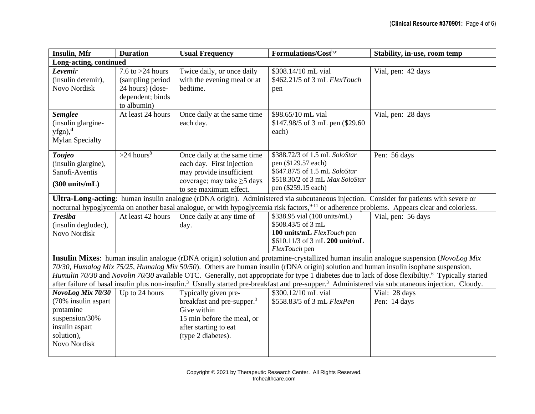| <b>Insulin, Mfr</b>                                                                                                                                                                                                                                                                                                                                                                                                                                                                | <b>Duration</b>                                                                               | <b>Usual Frequency</b>                                                                                                                                     | Formulations/Costb.c                                                                                                                            | Stability, in-use, room temp                                                                                                                             |  |
|------------------------------------------------------------------------------------------------------------------------------------------------------------------------------------------------------------------------------------------------------------------------------------------------------------------------------------------------------------------------------------------------------------------------------------------------------------------------------------|-----------------------------------------------------------------------------------------------|------------------------------------------------------------------------------------------------------------------------------------------------------------|-------------------------------------------------------------------------------------------------------------------------------------------------|----------------------------------------------------------------------------------------------------------------------------------------------------------|--|
| Long-acting, continued                                                                                                                                                                                                                                                                                                                                                                                                                                                             |                                                                                               |                                                                                                                                                            |                                                                                                                                                 |                                                                                                                                                          |  |
| Levemir<br>(insulin detemir),<br>Novo Nordisk                                                                                                                                                                                                                                                                                                                                                                                                                                      | 7.6 to $>24$ hours<br>(sampling period<br>24 hours) (dose-<br>dependent; binds<br>to albumin) | Twice daily, or once daily<br>with the evening meal or at<br>bedtime.                                                                                      | \$308.14/10 mL vial<br>\$462.21/5 of 3 mL FlexTouch<br>pen                                                                                      | Vial, pen: 42 days                                                                                                                                       |  |
| <b>Semglee</b><br>(insulin glargine-<br>$yfgn$ , <sup>d</sup><br><b>Mylan Specialty</b>                                                                                                                                                                                                                                                                                                                                                                                            | At least 24 hours                                                                             | Once daily at the same time<br>each day.                                                                                                                   | \$98.65/10 mL vial<br>\$147.98/5 of 3 mL pen (\$29.60)<br>each)                                                                                 | Vial, pen: 28 days                                                                                                                                       |  |
| Toujeo<br>(insulin glargine),<br>Sanofi-Aventis<br>$(300 \text{ units/mL})$                                                                                                                                                                                                                                                                                                                                                                                                        | $>24$ hours <sup>8</sup>                                                                      | Once daily at the same time<br>each day. First injection<br>may provide insufficient<br>coverage; may take $\geq$ 5 days<br>to see maximum effect.         | \$388.72/3 of 1.5 mL SoloStar<br>pen (\$129.57 each)<br>\$647.87/5 of 1.5 mL SoloStar<br>\$518.30/2 of 3 mL Max SoloStar<br>pen (\$259.15 each) | Pen: 56 days                                                                                                                                             |  |
| Ultra-Long-acting: human insulin analogue (rDNA origin). Administered via subcutaneous injection. Consider for patients with severe or                                                                                                                                                                                                                                                                                                                                             |                                                                                               |                                                                                                                                                            |                                                                                                                                                 |                                                                                                                                                          |  |
|                                                                                                                                                                                                                                                                                                                                                                                                                                                                                    |                                                                                               |                                                                                                                                                            |                                                                                                                                                 | nocturnal hypoglycemia on another basal analogue, or with hypoglycemia risk factors, <sup>9-11</sup> or adherence problems. Appears clear and colorless. |  |
| <b>Tresiba</b><br>(insulin degludec),<br>Novo Nordisk                                                                                                                                                                                                                                                                                                                                                                                                                              | At least 42 hours                                                                             | Once daily at any time of<br>day.                                                                                                                          | \$338.95 vial (100 units/mL)<br>\$508.43/5 of 3 mL<br>100 units/mL FlexTouch pen<br>\$610.11/3 of 3 mL 200 unit/mL<br>FlexTouch pen             | Vial, pen: 56 days                                                                                                                                       |  |
| Insulin Mixes: human insulin analogue (rDNA origin) solution and protamine-crystallized human insulin analogue suspension (NovoLog Mix                                                                                                                                                                                                                                                                                                                                             |                                                                                               |                                                                                                                                                            |                                                                                                                                                 |                                                                                                                                                          |  |
| 70/30, Humalog Mix 75/25, Humalog Mix 50/50). Others are human insulin (rDNA origin) solution and human insulin isophane suspension.<br>Humulin 70/30 and Novolin 70/30 available OTC. Generally, not appropriate for type 1 diabetes due to lack of dose flexibiltiy. <sup>6</sup> Typically started<br>after failure of basal insulin plus non-insulin. <sup>3</sup> Usually started pre-breakfast and pre-supper. <sup>3</sup> Administered via subcutaneous injection. Cloudy. |                                                                                               |                                                                                                                                                            |                                                                                                                                                 |                                                                                                                                                          |  |
| NovoLog Mix 70/30<br>(70% insulin aspart<br>protamine<br>suspension/30%<br>insulin aspart<br>solution),<br>Novo Nordisk                                                                                                                                                                                                                                                                                                                                                            | Up to 24 hours                                                                                | Typically given pre-<br>breakfast and pre-supper. <sup>3</sup><br>Give within<br>15 min before the meal, or<br>after starting to eat<br>(type 2 diabetes). | \$300.12/10 mL vial<br>\$558.83/5 of 3 mL FlexPen                                                                                               | Vial: 28 days<br>Pen: 14 days                                                                                                                            |  |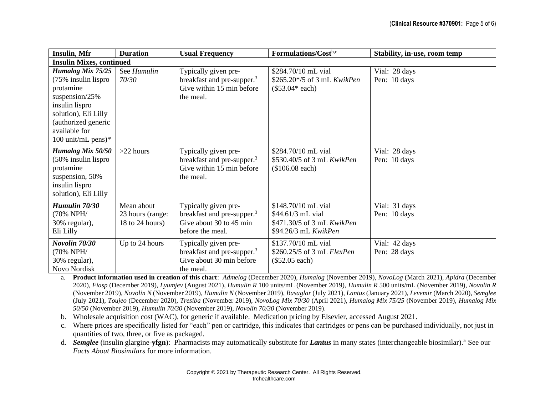| <b>Insulin, Mfr</b>                                                                                                                                                                          | <b>Duration</b>                                   | <b>Usual Frequency</b>                                                                                        | Formulations/Costb.c                                                                           | Stability, in-use, room temp  |  |
|----------------------------------------------------------------------------------------------------------------------------------------------------------------------------------------------|---------------------------------------------------|---------------------------------------------------------------------------------------------------------------|------------------------------------------------------------------------------------------------|-------------------------------|--|
| <b>Insulin Mixes, continued</b>                                                                                                                                                              |                                                   |                                                                                                               |                                                                                                |                               |  |
| <b>Humalog Mix 75/25</b><br>(75% insulin lispro<br>protamine<br>suspension/ $25%$<br>insulin lispro<br>solution), Eli Lilly<br>(authorized generic<br>available for<br>100 unit/mL pens $)*$ | See Humulin<br>70/30                              | Typically given pre-<br>breakfast and pre-supper. <sup>3</sup><br>Give within 15 min before<br>the meal.      | \$284.70/10 mL vial<br>\$265.20*/5 of 3 mL KwikPen<br>$($53.04*$ each)                         | Vial: 28 days<br>Pen: 10 days |  |
| Humalog Mix 50/50<br>(50% insulin lispro<br>protamine<br>suspension, 50%<br>insulin lispro<br>solution), Eli Lilly                                                                           | $>22$ hours                                       | Typically given pre-<br>breakfast and pre-supper. <sup>3</sup><br>Give within 15 min before<br>the meal.      | \$284.70/10 mL vial<br>\$530.40/5 of 3 mL KwikPen<br>(\$106.08 each)                           | Vial: 28 days<br>Pen: 10 days |  |
| Humulin 70/30<br>(70% NPH/<br>30% regular),<br>Eli Lilly                                                                                                                                     | Mean about<br>23 hours (range:<br>18 to 24 hours) | Typically given pre-<br>breakfast and pre-supper. <sup>3</sup><br>Give about 30 to 45 min<br>before the meal. | \$148.70/10 mL vial<br>\$44.61/3 mL vial<br>\$471.30/5 of 3 mL KwikPen<br>\$94.26/3 mL KwikPen | Vial: 31 days<br>Pen: 10 days |  |
| Novolin 70/30<br>(70% NPH/<br>30% regular),<br>Novo Nordisk                                                                                                                                  | Up to 24 hours                                    | Typically given pre-<br>breakfast and pre-supper. <sup>3</sup><br>Give about 30 min before<br>the meal.       | \$137.70/10 mL vial<br>\$260.25/5 of 3 mL FlexPen<br>$(\$52.05 each)$                          | Vial: 42 days<br>Pen: 28 days |  |

a. **Product information used in creation of this chart**: *Admelog* (December 2020), *Humalog* (November 2019), *NovoLog* (March 2021), *Apidra* (December 2020), *Fiasp* (December 2019), *Lyumjev* (August 2021), *Humulin R* 100 units/mL (November 2019), *Humulin R* 500 units/mL (November 2019), *Novolin R* (November 2019), *Novolin N* (November 2019), *Humulin N* (November 2019), *Basaglar* (July 2021), *Lantus* (January 2021), *Levemir* (March 2020), *Semglee*  (July 2021), *Toujeo* (December 2020), *Tresiba* (November 2019), *NovoLog Mix 70/30* (April 2021), *Humalog Mix 75/25* (November 2019), *Humalog Mix 50/50* (November 2019), *Humulin 70/30* (November 2019), *Novolin 70/30* (November 2019).

- b. Wholesale acquisition cost (WAC), for generic if available. Medication pricing by Elsevier, accessed August 2021.
- c. Where prices are specifically listed for "each" pen or cartridge, this indicates that cartridges or pens can be purchased individually, not just in quantities of two, three, or five as packaged.
- d. *Semglee* (insulin glargine-**yfgn**): Pharmacists may automatically substitute for *Lantus* in many states (interchangeable biosimilar).<sup>5</sup>See our *Facts About Biosimilars* for more information.